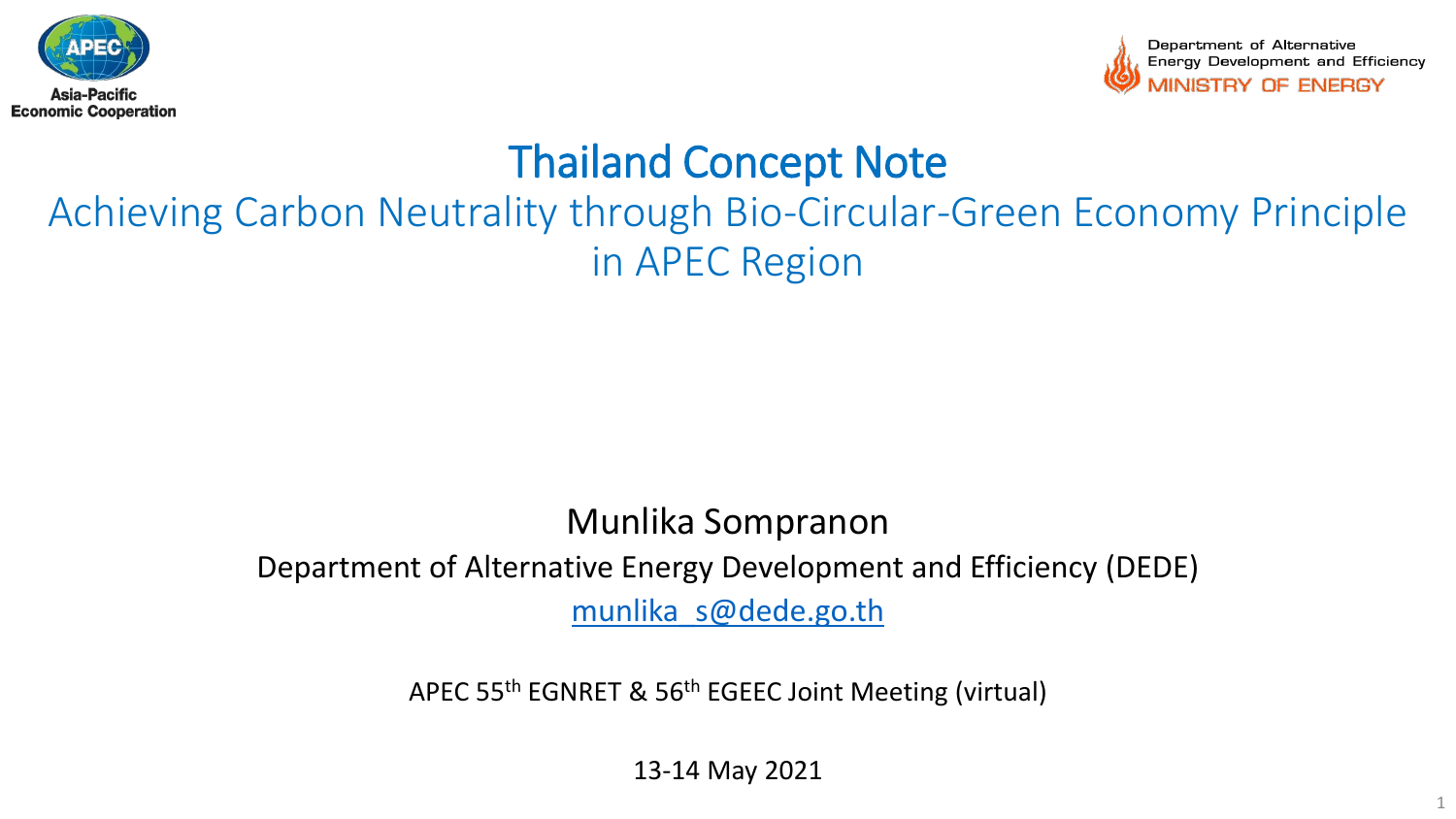



# Thailand Concept Note

# Achieving Carbon Neutrality through Bio-Circular-Green Economy Principle in APEC Region

### Munlika Sompranon Department of Alternative Energy Development and Efficiency (DEDE) [munlika\\_s@dede.go.th](mailto:munlika_s@dede.go.th)

APEC 55th EGNRET & 56th EGEEC Joint Meeting (virtual)

13-14 May 2021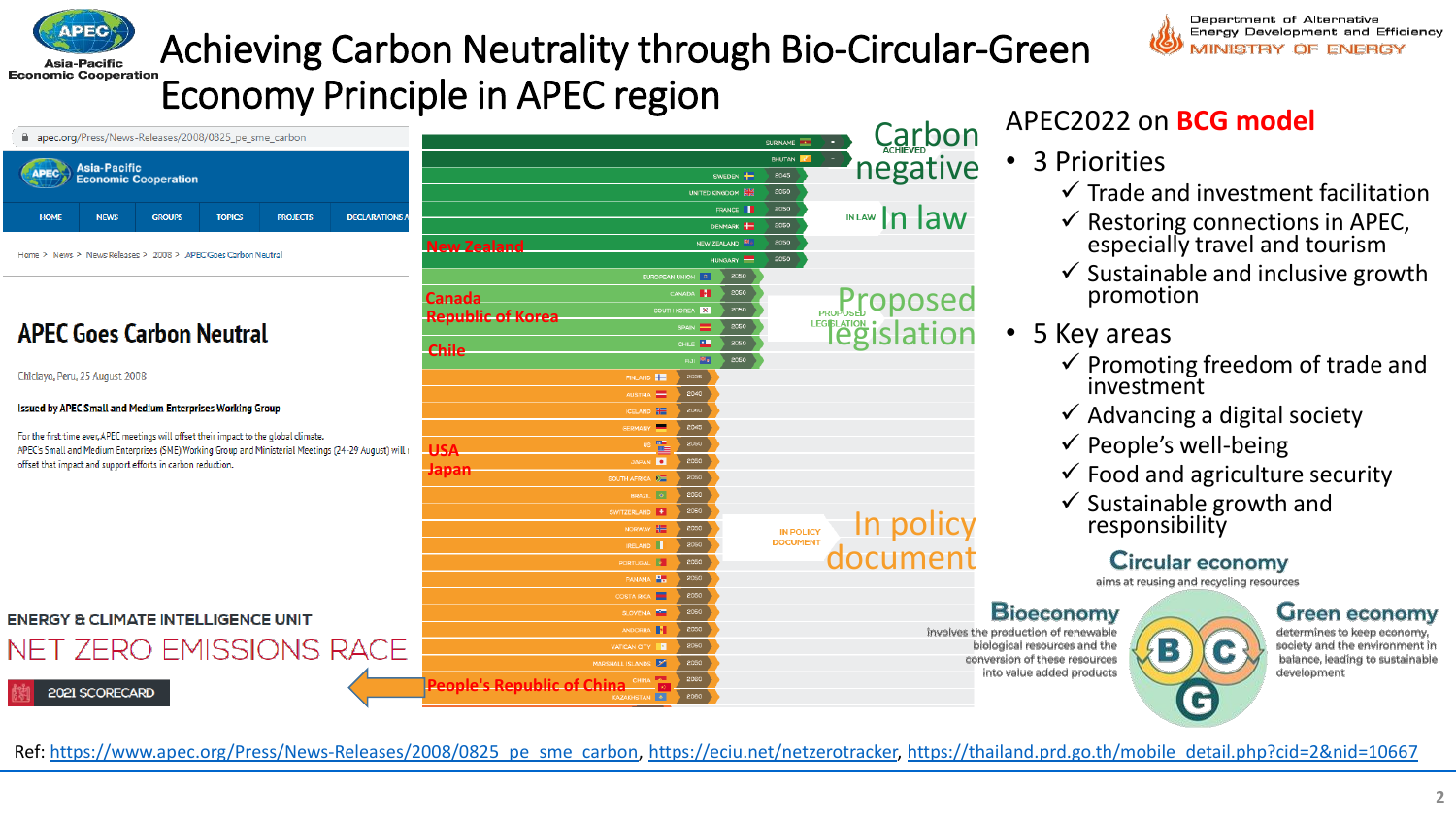



## Achieving Carbon Neutrality through Bio-Circular-Green Economy Principle in APEC region

| apec.org/Press/News-Releases/2008/0825 pe sme carbon              |             |               |               |                 |                       |  |  |  |  |
|-------------------------------------------------------------------|-------------|---------------|---------------|-----------------|-----------------------|--|--|--|--|
| <b>Asia-Pacific</b><br><b>APEC</b><br><b>Economic Cooperation</b> |             |               |               |                 |                       |  |  |  |  |
| <b>HOME</b>                                                       | <b>NEWS</b> | <b>GROUPS</b> | <b>TOPICS</b> | <b>PROJECTS</b> | <b>DECLARATIONS A</b> |  |  |  |  |

 $12222122222$ 

Home > News > News Releases > 2008 > APEC Goes Carbon Neutral

#### **APFC Goes Carbon Neutral**

Chiclayo, Peru, 25 August 2008

#### Issued by APEC Small and Medium Enterprises Working Group

For the first time ever, APEC meetings will offset their impact to the global o APEC's Small and Medium Enterprises (SME) Working Group and Ministerial offset that impact and support efforts in carbon reduction.

**ENERGY & CLIMATE INTELLIGENCE UN** 

### NET ZERO EMISSION

2021 SCORECARD

| ρn                             |                                            |                                      |                          | SURINAME THE     | <b>Carbon</b>                                                            |      |  |
|--------------------------------|--------------------------------------------|--------------------------------------|--------------------------|------------------|--------------------------------------------------------------------------|------|--|
|                                |                                            |                                      | <b>BHUTAN</b><br>2045    | negative         |                                                                          |      |  |
|                                |                                            | UNITED KINGDOM                       | 2050                     |                  |                                                                          |      |  |
|                                |                                            |                                      | 2050                     |                  |                                                                          |      |  |
| ECTS<br><b>DECLARATIONS A</b>  |                                            |                                      | 2050                     | INLAW In law     |                                                                          |      |  |
|                                | <b>New Zealand</b>                         |                                      | NEW ZEALAND              | 2050             |                                                                          |      |  |
|                                |                                            |                                      | HUNGARY                  | 2050             |                                                                          |      |  |
|                                |                                            | EUROPEAN UNION 0                     | 2050                     |                  |                                                                          |      |  |
|                                | <b>Canada</b>                              | CANADA <b>1</b>                      | 2050                     |                  |                                                                          |      |  |
|                                | <b>Republic of Korea</b>                   | SOUTH KOREA                          | 2050<br>SPAIN E<br>2050  |                  |                                                                          |      |  |
|                                |                                            |                                      | CHILE <b>ALL</b><br>2050 |                  | <b>Proposed</b><br><b>PROPOSEd</b><br><b>PROPOSEd</b><br><b>PROPOSEd</b> |      |  |
|                                | <b>Chile</b>                               |                                      | Fla. Me<br>2050          |                  |                                                                          |      |  |
|                                |                                            | FINLAND <b>THE</b>                   | 2035                     |                  |                                                                          |      |  |
|                                |                                            | AUSTRIA                              | 2040                     |                  |                                                                          |      |  |
|                                |                                            | <b>ICELAND HE</b>                    | 2040                     |                  |                                                                          |      |  |
| :limate.                       |                                            | 罒<br><b>GERMANY</b>                  | 2045                     |                  |                                                                          |      |  |
| Meetings (24-29 August) will r | <b>USA</b>                                 | us $\frac{1}{\ln 2}$                 | 2050                     |                  |                                                                          |      |  |
|                                | <b>Japan</b>                               | <b>JAPAN</b>                         | 2050                     |                  |                                                                          |      |  |
|                                |                                            | SOUTH AFRICA <b>DE</b><br>BRAZIL O   | 2050<br>2050             |                  |                                                                          |      |  |
|                                |                                            | SWITZERLAND +                        | 2050                     |                  |                                                                          |      |  |
|                                |                                            | NORWAY -                             | 2050                     | <b>IN POLICY</b> | In policy<br>document                                                    |      |  |
|                                |                                            | IRELAND                              | 2050                     | <b>DOCUMENT</b>  |                                                                          |      |  |
|                                |                                            | PORTUGAL <b>A</b>                    | 2050                     |                  |                                                                          |      |  |
|                                |                                            | PANAMA <sup>P</sup> E                | 2050                     |                  |                                                                          |      |  |
|                                |                                            | ▬<br>COSTA RICA                      | 2050                     |                  |                                                                          |      |  |
| IΤ                             |                                            | SLOVENIA <b>NO</b>                   | 2050                     |                  |                                                                          |      |  |
| <b>IS RACE</b>                 |                                            | ANDORRA <b>1</b>                     | 2050                     |                  | involves the p                                                           |      |  |
|                                |                                            | VATICAN CITY   3<br>MARSHALL ISLANDS | 2050<br>2050             |                  | conve                                                                    | biok |  |
|                                |                                            |                                      | 2060                     |                  |                                                                          | int  |  |
|                                | <b>People's Republic of China CHINA PE</b> |                                      |                          |                  |                                                                          |      |  |

#### APEC2022 on **BCG model**

- 3 Priorities
	- $\checkmark$  Trade and investment facilitation
	- $\checkmark$  Restoring connections in APEC, especially travel and tourism
	- $\checkmark$  Sustainable and inclusive growth promotion
- 5 Key areas
	- $\checkmark$  Promoting freedom of trade and investment
	- $\checkmark$  Advancing a digital society
	- $\checkmark$  People's well-being
	- $\checkmark$  Food and agriculture security
	- $\checkmark$  Sustainable growth and responsibility

#### **Circular economy**

aims at reusing and recycling resources

В

#### $\mathsf B$ ioeconomy

oroduction of renewable ogical resources and the ersion of these resources to value added products

Green economy determines to keep economy,

society and the environment in balance, leading to sustainable development



Ref: [https://www.apec.org/Press/News-Releases/2008/0825\\_pe\\_sme\\_carbon](https://www.apec.org/Press/News-Releases/2008/0825_pe_sme_carbon), [https://eciu.net/netzerotracker,](https://eciu.net/netzerotracker) [https://thailand.prd.go.th/mobile\\_detail.php?cid=2&nid=10667](https://thailand.prd.go.th/mobile_detail.php?cid=2&nid=10667)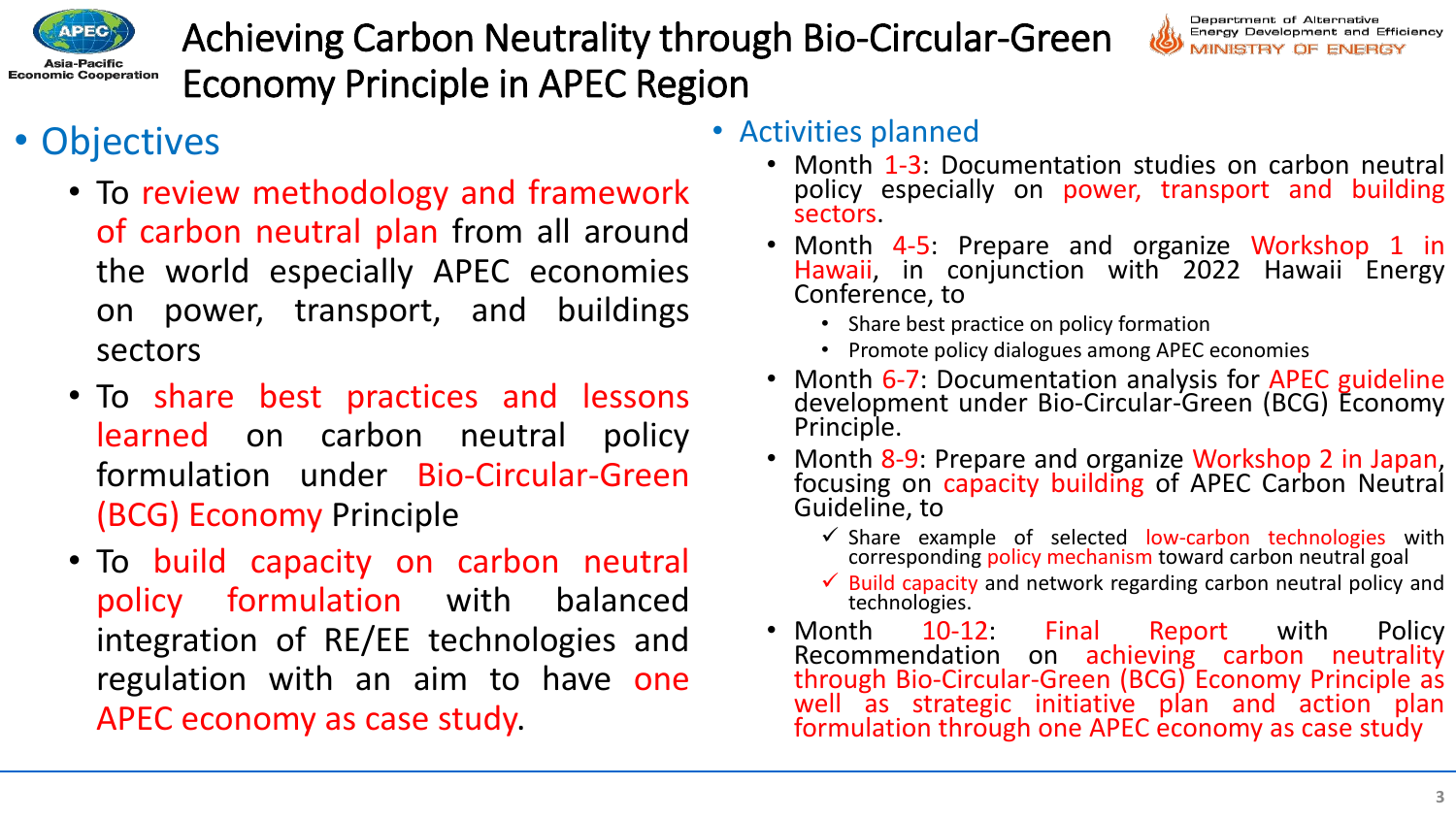

Achieving Carbon Neutrality through Bio-Circular-Green Economy Principle in APEC Region



### • Objectives

- To review methodology and framework of carbon neutral plan from all around the world especially APEC economies on power, transport, and buildings sectors
- To share best practices and lessons learned on carbon neutral policy formulation under Bio-Circular-Green (BCG) Economy Principle
- To build capacity on carbon neutral policy formulation with balanced integration of RE/EE technologies and regulation with an aim to have one APEC economy as case study.

#### • Activities planned

- Month 1-3: Documentation studies on carbon neutral policy especially on power, transport and building sectors.
- Month 4-5: Prepare and organize Workshop 1 in Hawaii, in conjunction with 2022 Hawaii Energy Conference, to
	- Share best practice on policy formation
	- Promote policy dialogues among APEC economies
- Month 6-7: Documentation analysis for APEC guideline development under Bio-Circular-Green (BCG) Economy Principle.
- Month 8-9: Prepare and organize Workshop 2 in Japan, focusing on capacity building of APEC Carbon Neutral Guideline, to
	- $\checkmark$  Share example of selected low-carbon technologies with corresponding policy mechanism toward carbon neutral goal
	- $\checkmark$  Build capacity and network regarding carbon neutral policy and technologies.
- Month 10-12: Final Report with Policy<br>Recommendation on achieving carbon neutrality on achieving carbon neutrality through Bio-Circular-Green (BCG) Economy Principle as well as strategic initiative plan and action plan formulation through one APEC economy as case study